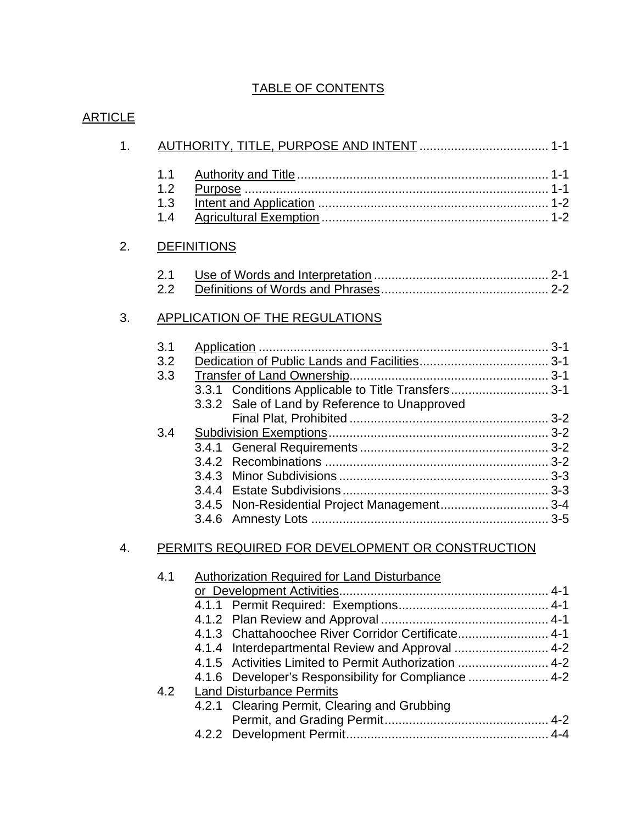## TABLE OF CONTENTS

| 1. |                          |                                                                                                                                                                                                                                                                              |
|----|--------------------------|------------------------------------------------------------------------------------------------------------------------------------------------------------------------------------------------------------------------------------------------------------------------------|
|    | 1.1<br>1.2<br>1.3<br>1.4 |                                                                                                                                                                                                                                                                              |
| 2. |                          | <b>DEFINITIONS</b>                                                                                                                                                                                                                                                           |
|    | 2.1<br>2.2               |                                                                                                                                                                                                                                                                              |
| 3. |                          | <b>APPLICATION OF THE REGULATIONS</b>                                                                                                                                                                                                                                        |
|    | 3.1<br>3.2<br>3.3        | 3.3.1 Conditions Applicable to Title Transfers 3-1<br>3.3.2 Sale of Land by Reference to Unapproved                                                                                                                                                                          |
|    | 3.4                      | 3.4.5 Non-Residential Project Management 3-4                                                                                                                                                                                                                                 |
| 4. |                          | PERMITS REQUIRED FOR DEVELOPMENT OR CONSTRUCTION                                                                                                                                                                                                                             |
|    | 4.1                      | <b>Authorization Required for Land Disturbance</b><br>4.1.3 Chattahoochee River Corridor Certificate 4-1<br>4.1.4 Interdepartmental Review and Approval 4-2<br>4.1.5 Activities Limited to Permit Authorization  4-2<br>4.1.6 Developer's Responsibility for Compliance  4-2 |
|    | 4.2                      | <b>Land Disturbance Permits</b><br>4.2.1 Clearing Permit, Clearing and Grubbing                                                                                                                                                                                              |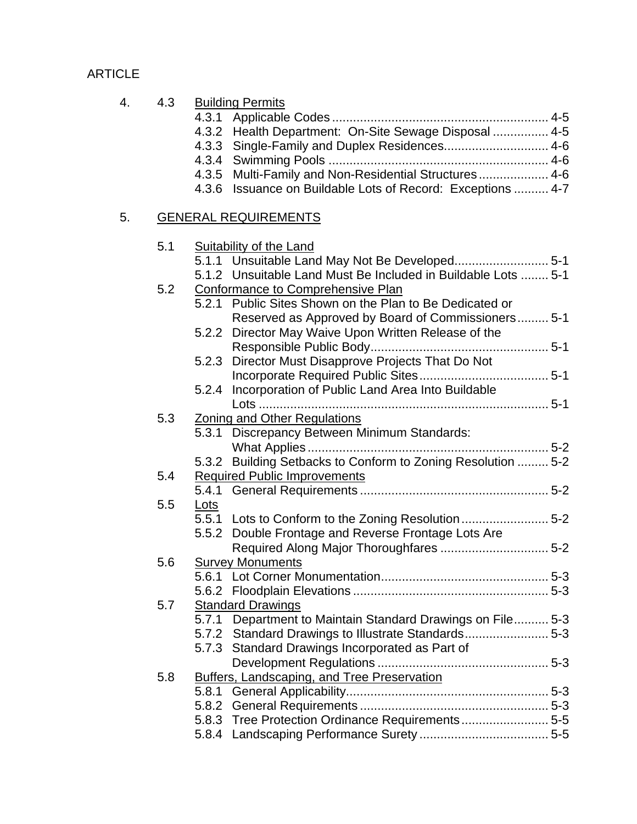| 4. | 4.3 | <b>Building Permits</b><br>Health Department: On-Site Sewage Disposal  4-5<br>4.3.2<br>Single-Family and Duplex Residences 4-6<br>4.3.3<br>4.3.5 Multi-Family and Non-Residential Structures 4-6<br>Issuance on Buildable Lots of Record: Exceptions  4-7<br>4.3.6 |
|----|-----|--------------------------------------------------------------------------------------------------------------------------------------------------------------------------------------------------------------------------------------------------------------------|
| 5. |     | <b>GENERAL REQUIREMENTS</b>                                                                                                                                                                                                                                        |
|    | 5.1 | <b>Suitability of the Land</b><br>5.1.1 Unsuitable Land May Not Be Developed 5-1<br>5.1.2 Unsuitable Land Must Be Included in Buildable Lots  5-1                                                                                                                  |
|    | 5.2 | <b>Conformance to Comprehensive Plan</b><br>5.2.1 Public Sites Shown on the Plan to Be Dedicated or<br>Reserved as Approved by Board of Commissioners 5-1                                                                                                          |
|    |     | 5.2.2 Director May Waive Upon Written Release of the<br>5.2.3 Director Must Disapprove Projects That Do Not                                                                                                                                                        |
|    |     | Incorporation of Public Land Area Into Buildable<br>5.2.4                                                                                                                                                                                                          |
|    | 5.3 | Zoning and Other Regulations<br>5.3.1 Discrepancy Between Minimum Standards:                                                                                                                                                                                       |
|    | 5.4 | 5.3.2 Building Setbacks to Conform to Zoning Resolution  5-2<br><b>Required Public Improvements</b>                                                                                                                                                                |
|    | 5.5 | <u>Lots</u>                                                                                                                                                                                                                                                        |
|    |     | 5-5.1 Lots to Conform to the Zoning Resolution 5-2<br>Double Frontage and Reverse Frontage Lots Are<br>5.5.2                                                                                                                                                       |
|    | 5.6 | <b>Survey Monuments</b>                                                                                                                                                                                                                                            |
|    | 5.7 | <b>Standard Drawings</b><br>5.7.1 Department to Maintain Standard Drawings on File 5-3<br>5.7.2 Standard Drawings to Illustrate Standards5-3<br>5.7.3 Standard Drawings Incorporated as Part of                                                                    |
|    | 5.8 | Buffers, Landscaping, and Tree Preservation<br>5.8.1<br>5.8.2<br>5.8.3 Tree Protection Ordinance Requirements5-5                                                                                                                                                   |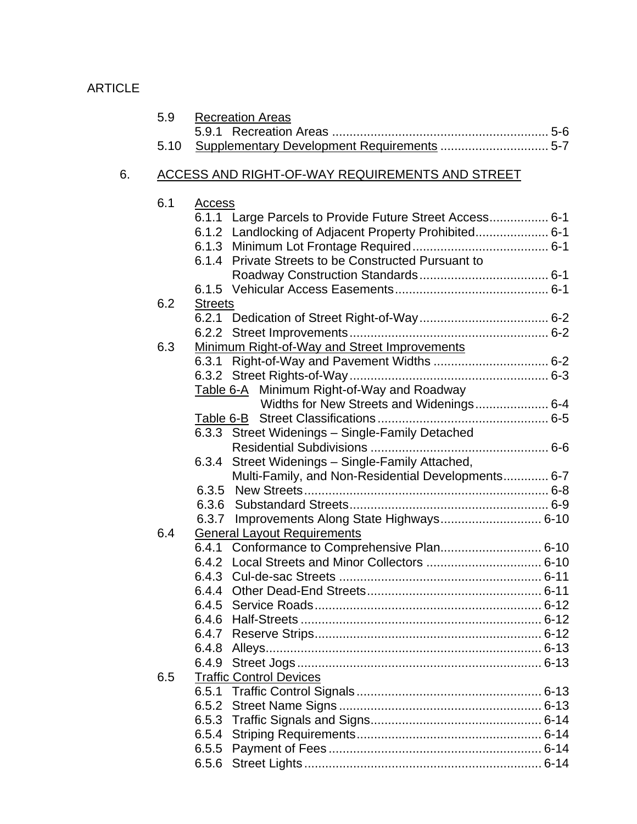|    | 5.9  | <b>Recreation Areas</b>                                 |
|----|------|---------------------------------------------------------|
|    |      |                                                         |
|    | 5.10 |                                                         |
| 6. |      | <b>ACCESS AND RIGHT-OF-WAY REQUIREMENTS AND STREET</b>  |
|    | 6.1  | <b>Access</b>                                           |
|    |      | 6.1.1 Large Parcels to Provide Future Street Access 6-1 |
|    |      |                                                         |
|    |      |                                                         |
|    |      | 6.1.4 Private Streets to be Constructed Pursuant to     |
|    |      |                                                         |
|    |      |                                                         |
|    | 6.2  | <b>Streets</b>                                          |
|    |      |                                                         |
|    |      |                                                         |
|    | 6.3  | Minimum Right-of-Way and Street Improvements            |
|    |      | 6.3.1 Right-of-Way and Pavement Widths  6-2             |
|    |      |                                                         |
|    |      | Table 6-A Minimum Right-of-Way and Roadway              |
|    |      | Widths for New Streets and Widenings 6-4                |
|    |      | 6.3.3 Street Widenings - Single-Family Detached         |
|    |      |                                                         |
|    |      | 6.3.4 Street Widenings - Single-Family Attached,        |
|    |      | Multi-Family, and Non-Residential Developments 6-7      |
|    |      |                                                         |
|    |      |                                                         |
|    |      | 6.3.7 Improvements Along State Highways 6-10            |
|    | 6.4  | <b>General Layout Requirements</b>                      |
|    |      | 6.4.1 Conformance to Comprehensive Plan 6-10            |
|    |      |                                                         |
|    |      |                                                         |
|    |      |                                                         |
|    |      |                                                         |
|    |      |                                                         |
|    |      |                                                         |
|    |      |                                                         |
|    |      |                                                         |
|    | 6.5  | <b>Traffic Control Devices</b>                          |
|    |      |                                                         |
|    |      | 6.5.2                                                   |
|    |      |                                                         |
|    |      |                                                         |
|    |      |                                                         |
|    |      |                                                         |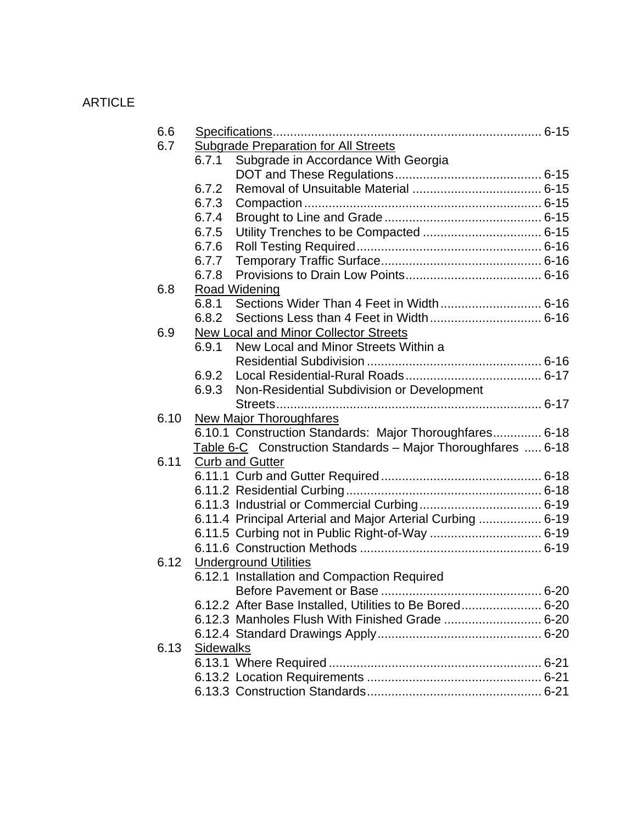| 6.6  |                                                              |  |
|------|--------------------------------------------------------------|--|
| 6.7  | <b>Subgrade Preparation for All Streets</b>                  |  |
|      | Subgrade in Accordance With Georgia<br>6.7.1                 |  |
|      |                                                              |  |
|      | 6.7.2                                                        |  |
|      | 6.7.3                                                        |  |
|      | 6.7.4                                                        |  |
|      | 6.7.5                                                        |  |
|      | 6.7.6                                                        |  |
|      | 6.7.7                                                        |  |
|      | 6.7.8                                                        |  |
| 6.8  | Road Widening                                                |  |
|      | 6.8.1                                                        |  |
|      | 6.8.2                                                        |  |
| 6.9  | <b>New Local and Minor Collector Streets</b>                 |  |
|      | 6.9.1<br>New Local and Minor Streets Within a                |  |
|      |                                                              |  |
|      | 6.9.2                                                        |  |
|      | Non-Residential Subdivision or Development<br>6.9.3          |  |
|      |                                                              |  |
| 6.10 | <b>New Major Thoroughfares</b>                               |  |
|      | 6.10.1 Construction Standards: Major Thoroughfares 6-18      |  |
|      | Table 6-C Construction Standards - Major Thoroughfares  6-18 |  |
| 6.11 | <b>Curb and Gutter</b>                                       |  |
|      |                                                              |  |
|      |                                                              |  |
|      |                                                              |  |
|      | 6.11.4 Principal Arterial and Major Arterial Curbing  6-19   |  |
|      |                                                              |  |
|      |                                                              |  |
| 6.12 | <b>Underground Utilities</b>                                 |  |
|      | 6.12.1 Installation and Compaction Required                  |  |
|      |                                                              |  |
|      | 6.12.2 After Base Installed, Utilities to Be Bored 6-20      |  |
|      |                                                              |  |
|      |                                                              |  |
| 6.13 | Sidewalks                                                    |  |
|      |                                                              |  |
|      |                                                              |  |
|      |                                                              |  |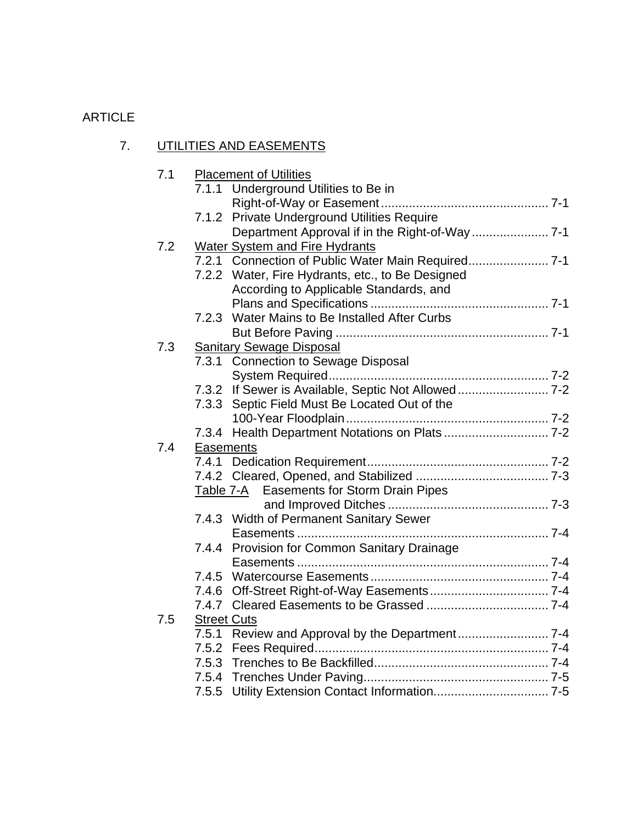# 7. UTILITIES AND EASEMENTS

| 7.1 |                    | <b>Placement of Utilities</b>                       |
|-----|--------------------|-----------------------------------------------------|
|     | 7.1.1              | Underground Utilities to Be in                      |
|     |                    |                                                     |
|     | 7.1.2              | Private Underground Utilities Require               |
|     |                    | Department Approval if in the Right-of-Way  7-1     |
| 7.2 |                    | Water System and Fire Hydrants                      |
|     |                    | 7.2.1 Connection of Public Water Main Required 7-1  |
|     |                    | 7.2.2 Water, Fire Hydrants, etc., to Be Designed    |
|     |                    | According to Applicable Standards, and              |
|     |                    |                                                     |
|     | 7.2.3              | Water Mains to Be Installed After Curbs             |
|     |                    |                                                     |
| 7.3 |                    | <b>Sanitary Sewage Disposal</b>                     |
|     | 7.3.1              | <b>Connection to Sewage Disposal</b>                |
|     |                    |                                                     |
|     |                    | 7.3.2 If Sewer is Available, Septic Not Allowed 7-2 |
|     | 7.3.3              | Septic Field Must Be Located Out of the             |
|     |                    |                                                     |
|     | 7.3.4              |                                                     |
| 7.4 | Easements          |                                                     |
|     |                    |                                                     |
|     |                    |                                                     |
|     | Table 7-A          | Easements for Storm Drain Pipes                     |
|     |                    |                                                     |
|     |                    | 7.4.3 Width of Permanent Sanitary Sewer             |
|     |                    |                                                     |
|     |                    | 7.4.4 Provision for Common Sanitary Drainage        |
|     |                    |                                                     |
|     |                    |                                                     |
|     |                    |                                                     |
|     |                    |                                                     |
| 7.5 | <b>Street Cuts</b> |                                                     |
|     |                    |                                                     |
|     |                    |                                                     |
|     |                    |                                                     |
|     |                    |                                                     |
|     |                    |                                                     |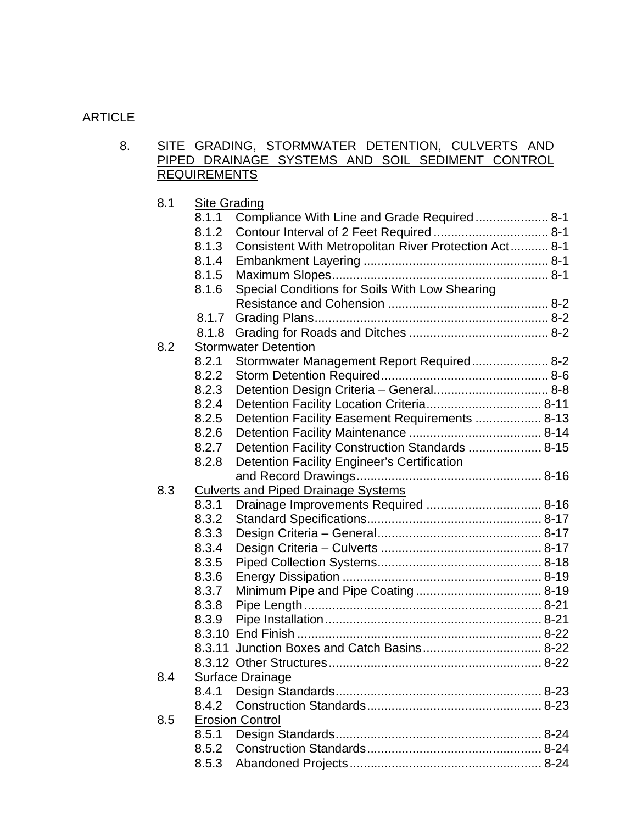#### 8. SITE GRADING, STORMWATER DETENTION, CULVERTS AND PIPED DRAINAGE SYSTEMS AND SOIL SEDIMENT CONTROL **REQUIREMENTS**

| 8.1 | <b>Site Grading</b>                                            |  |
|-----|----------------------------------------------------------------|--|
|     | 8.1.1<br>Compliance With Line and Grade Required 8-1           |  |
|     | 8.1.2                                                          |  |
|     | Consistent With Metropolitan River Protection Act 8-1<br>8.1.3 |  |
|     | 8.1.4                                                          |  |
|     | 8.1.5                                                          |  |
|     | Special Conditions for Soils With Low Shearing<br>8.1.6        |  |
|     |                                                                |  |
|     | 8.1.7                                                          |  |
|     | 8.1.8                                                          |  |
| 8.2 | <b>Stormwater Detention</b>                                    |  |
|     | Stormwater Management Report Required 8-2<br>8.2.1             |  |
|     | 8.2.2                                                          |  |
|     | 8.2.3                                                          |  |
|     | 8.2.4                                                          |  |
|     | Detention Facility Easement Requirements  8-13<br>8.2.5        |  |
|     | 8.2.6                                                          |  |
|     | Detention Facility Construction Standards  8-15<br>8.2.7       |  |
|     | 8.2.8<br><b>Detention Facility Engineer's Certification</b>    |  |
|     |                                                                |  |
| 8.3 | <b>Culverts and Piped Drainage Systems</b>                     |  |
|     | 8.3.1                                                          |  |
|     | 8.3.2                                                          |  |
|     | 8.3.3                                                          |  |
|     | 8.3.4                                                          |  |
|     | 8.3.5                                                          |  |
|     | 8.3.6                                                          |  |
|     | 8.3.7                                                          |  |
|     | 8.3.8                                                          |  |
|     | 8.3.9                                                          |  |
|     |                                                                |  |
|     |                                                                |  |
|     |                                                                |  |
| 8.4 | Surface Drainage                                               |  |
|     | 8.4.1                                                          |  |
|     | 8.4.2                                                          |  |
| 8.5 | <b>Erosion Control</b>                                         |  |
|     | 8.5.1                                                          |  |
|     | 8.5.2                                                          |  |
|     | 8.5.3                                                          |  |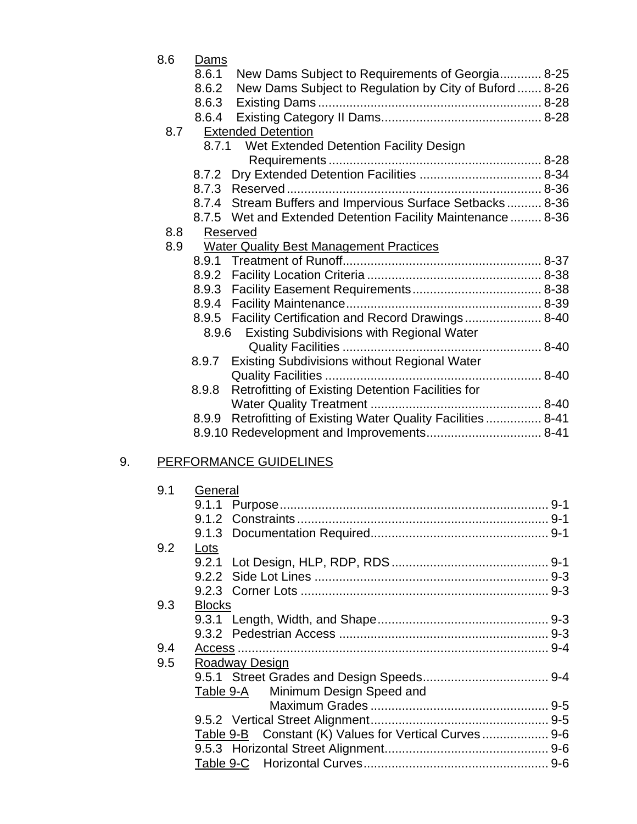|    | 8.6 | Dams          |                                                               |  |
|----|-----|---------------|---------------------------------------------------------------|--|
|    |     | 8.6.1         | New Dams Subject to Requirements of Georgia 8-25              |  |
|    |     | 8.6.2         | New Dams Subject to Regulation by City of Buford  8-26        |  |
|    |     | 8.6.3         |                                                               |  |
|    |     | 8.6.4         |                                                               |  |
|    | 8.7 |               | <b>Extended Detention</b>                                     |  |
|    |     | 8.7.1         | Wet Extended Detention Facility Design                        |  |
|    |     |               |                                                               |  |
|    |     |               |                                                               |  |
|    |     |               |                                                               |  |
|    |     |               | 8.7.4 Stream Buffers and Impervious Surface Setbacks 8-36     |  |
|    |     |               | 8.7.5 Wet and Extended Detention Facility Maintenance  8-36   |  |
|    | 8.8 |               | Reserved                                                      |  |
|    | 8.9 |               | <b>Water Quality Best Management Practices</b>                |  |
|    |     |               |                                                               |  |
|    |     |               |                                                               |  |
|    |     | 8.9.3         |                                                               |  |
|    |     |               |                                                               |  |
|    |     |               | 8.9.5 Facility Certification and Record Drawings 8-40         |  |
|    |     | 8.9.6         | <b>Existing Subdivisions with Regional Water</b>              |  |
|    |     |               |                                                               |  |
|    |     |               | 8.9.7 Existing Subdivisions without Regional Water            |  |
|    |     |               |                                                               |  |
|    |     | 8.9.8         | Retrofitting of Existing Detention Facilities for             |  |
|    |     |               |                                                               |  |
|    |     |               | 8.9.9 Retrofitting of Existing Water Quality Facilities  8-41 |  |
|    |     |               |                                                               |  |
| 9. |     |               | <b>PERFORMANCE GUIDELINES</b>                                 |  |
|    |     |               |                                                               |  |
|    | 9.1 | General       |                                                               |  |
|    |     |               |                                                               |  |
|    |     |               |                                                               |  |
|    |     |               |                                                               |  |
|    | 9.2 | Lots          |                                                               |  |
|    |     |               |                                                               |  |
|    |     | 9.2.2         |                                                               |  |
|    |     |               |                                                               |  |
|    | 9.3 | <b>Blocks</b> |                                                               |  |
|    |     |               |                                                               |  |
|    |     |               |                                                               |  |
|    | 9.4 |               |                                                               |  |
|    | 9.5 |               | <b>Roadway Design</b>                                         |  |
|    |     |               |                                                               |  |
|    |     | Table 9-A     | Minimum Design Speed and                                      |  |
|    |     |               |                                                               |  |
|    |     |               |                                                               |  |
|    |     | Table 9-B     | Constant (K) Values for Vertical Curves 9-6                   |  |
|    |     |               |                                                               |  |
|    |     | Table 9-C     |                                                               |  |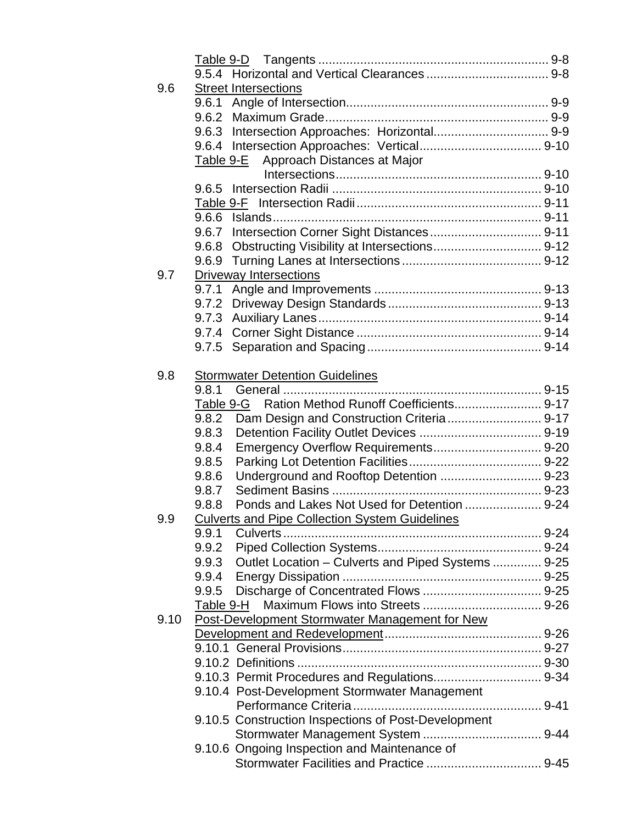| 9.6  |           | <b>Street Intersections</b>                              |  |
|------|-----------|----------------------------------------------------------|--|
|      | 9.6.1     |                                                          |  |
|      | 9.6.2     |                                                          |  |
|      | 9.6.3     |                                                          |  |
|      |           |                                                          |  |
|      | Table 9-E | Approach Distances at Major                              |  |
|      |           |                                                          |  |
|      | 9.6.5     |                                                          |  |
|      |           |                                                          |  |
|      | 9.6.6     |                                                          |  |
|      | 9.6.7     |                                                          |  |
|      | 9.6.8     |                                                          |  |
|      | 9.6.9     |                                                          |  |
| 9.7  |           | <b>Driveway Intersections</b>                            |  |
|      | 9.7.1     |                                                          |  |
|      | 9.7.2     |                                                          |  |
|      | 9.7.3     |                                                          |  |
|      |           |                                                          |  |
|      | 9.7.5     |                                                          |  |
|      |           |                                                          |  |
| 9.8  |           | <b>Stormwater Detention Guidelines</b>                   |  |
|      | 9.8.1     |                                                          |  |
|      |           |                                                          |  |
|      | 9.8.2     |                                                          |  |
|      | 9.8.3     |                                                          |  |
|      | 9.8.4     |                                                          |  |
|      | 9.8.5     |                                                          |  |
|      | 9.8.6     | Underground and Rooftop Detention  9-23                  |  |
|      | 9.8.7     |                                                          |  |
|      | 9.8.8     | Ponds and Lakes Not Used for Detention  9-24             |  |
| 9.9  |           |                                                          |  |
|      | 9.9.1     | <b>Culverts and Pipe Collection System Guidelines</b>    |  |
|      | 9.9.2     |                                                          |  |
|      |           | 9.9.3 Outlet Location - Culverts and Piped Systems  9-25 |  |
|      |           |                                                          |  |
|      | 9.9.5     |                                                          |  |
|      |           |                                                          |  |
|      | Table 9-H |                                                          |  |
| 9.10 |           | Post-Development Stormwater Management for New           |  |
|      |           |                                                          |  |
|      |           |                                                          |  |
|      |           |                                                          |  |
|      |           |                                                          |  |
|      |           | 9.10.4 Post-Development Stormwater Management            |  |
|      |           |                                                          |  |
|      |           | 9.10.5 Construction Inspections of Post-Development      |  |
|      |           |                                                          |  |
|      |           | 9.10.6 Ongoing Inspection and Maintenance of             |  |
|      |           |                                                          |  |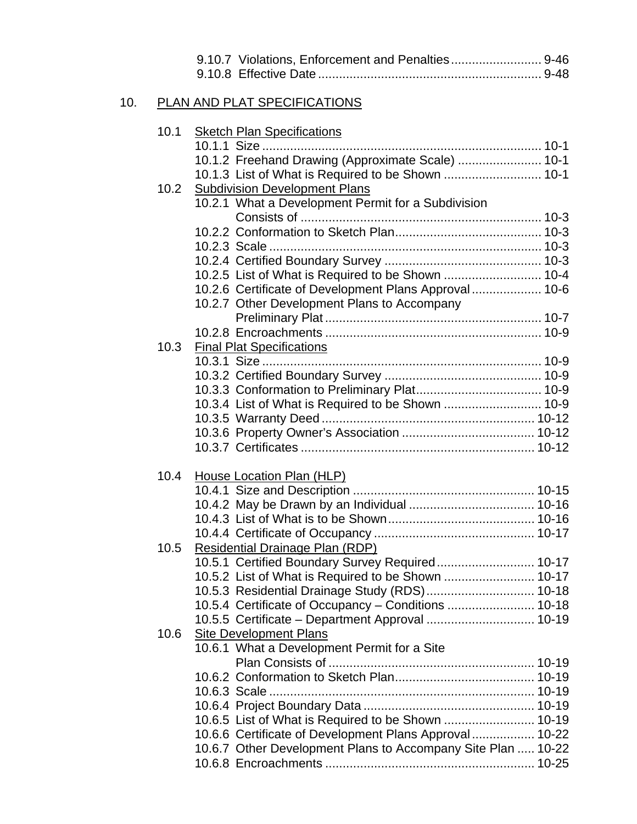| 10.<br>PLAN AND PLAT SPECIFICATIONS<br>10.1<br><b>Sketch Plan Specifications</b>                     |
|------------------------------------------------------------------------------------------------------|
|                                                                                                      |
|                                                                                                      |
| 10.1.2 Freehand Drawing (Approximate Scale)  10-1                                                    |
|                                                                                                      |
| <b>Subdivision Development Plans</b><br>10.2                                                         |
| 10.2.1 What a Development Permit for a Subdivision                                                   |
|                                                                                                      |
|                                                                                                      |
|                                                                                                      |
|                                                                                                      |
| 10.2.6 Certificate of Development Plans Approval 10-6<br>10.2.7 Other Development Plans to Accompany |
|                                                                                                      |
|                                                                                                      |
| 10.3<br><b>Final Plat Specifications</b>                                                             |
|                                                                                                      |
|                                                                                                      |
|                                                                                                      |
| 10.3.4 List of What is Required to be Shown  10-9                                                    |
|                                                                                                      |
|                                                                                                      |
|                                                                                                      |
| 10.4<br>House Location Plan (HLP)                                                                    |
|                                                                                                      |
|                                                                                                      |
|                                                                                                      |
| 10.5                                                                                                 |
| <b>Residential Drainage Plan (RDP)</b><br>10.5.1 Certified Boundary Survey Required 10-17            |
|                                                                                                      |
| 10.5.3 Residential Drainage Study (RDS) 10-18                                                        |
| 10.5.4 Certificate of Occupancy - Conditions  10-18                                                  |
|                                                                                                      |
| <b>Site Development Plans</b><br>10.6                                                                |
| 10.6.1 What a Development Permit for a Site                                                          |
|                                                                                                      |
|                                                                                                      |
|                                                                                                      |
| 10.6.5 List of What is Required to be Shown  10-19                                                   |
| 10.6.6 Certificate of Development Plans Approval 10-22                                               |
| 10.6.7 Other Development Plans to Accompany Site Plan  10-22                                         |
|                                                                                                      |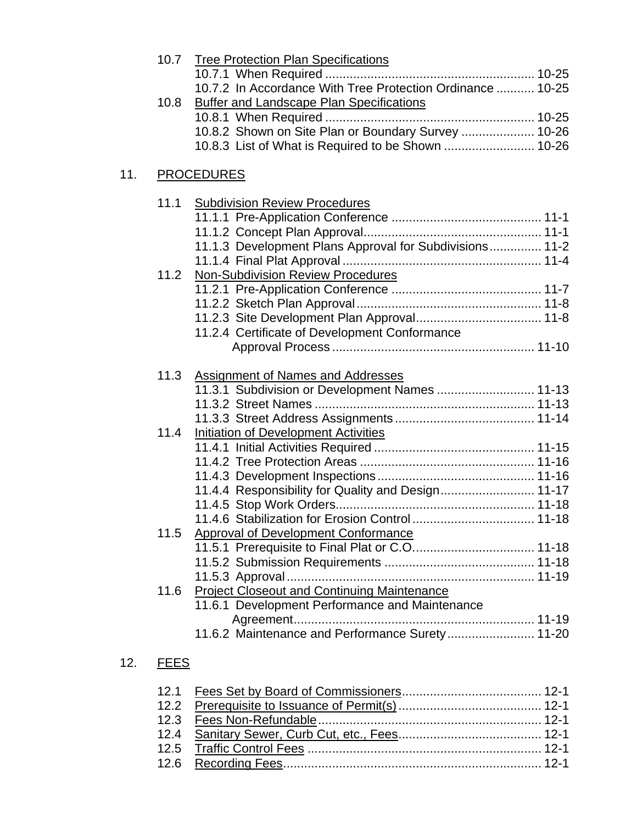|     | 10.7 | <b>Tree Protection Plan Specifications</b>                 |
|-----|------|------------------------------------------------------------|
|     |      |                                                            |
|     |      | 10.7.2 In Accordance With Tree Protection Ordinance  10-25 |
|     | 10.8 | <b>Buffer and Landscape Plan Specifications</b>            |
|     |      |                                                            |
|     |      | 10.8.2 Shown on Site Plan or Boundary Survey  10-26        |
|     |      |                                                            |
|     |      |                                                            |
| 11. |      | <b>PROCEDURES</b>                                          |
|     | 11.1 | <b>Subdivision Review Procedures</b>                       |
|     |      |                                                            |
|     |      |                                                            |
|     |      | 11.1.3 Development Plans Approval for Subdivisions 11-2    |
|     |      |                                                            |
|     | 11.2 | Non-Subdivision Review Procedures                          |
|     |      |                                                            |
|     |      |                                                            |
|     |      |                                                            |
|     |      | 11.2.4 Certificate of Development Conformance              |
|     |      |                                                            |
|     |      |                                                            |
|     | 11.3 | <b>Assignment of Names and Addresses</b>                   |
|     |      | 11.3.1 Subdivision or Development Names  11-13             |
|     |      |                                                            |
|     |      |                                                            |
|     | 11.4 | Initiation of Development Activities                       |
|     |      |                                                            |
|     |      |                                                            |
|     |      |                                                            |
|     |      | 11.4.4 Responsibility for Quality and Design 11-17         |
|     |      |                                                            |
|     |      |                                                            |
|     | 11.5 | <b>Approval of Development Conformance</b>                 |
|     |      |                                                            |
|     |      |                                                            |
|     |      |                                                            |
|     | 11.6 | <b>Project Closeout and Continuing Maintenance</b>         |
|     |      | 11.6.1 Development Performance and Maintenance             |
|     |      |                                                            |
|     |      | 11.6.2 Maintenance and Performance Surety 11-20            |
|     |      |                                                            |
|     |      |                                                            |

# 12. FEES